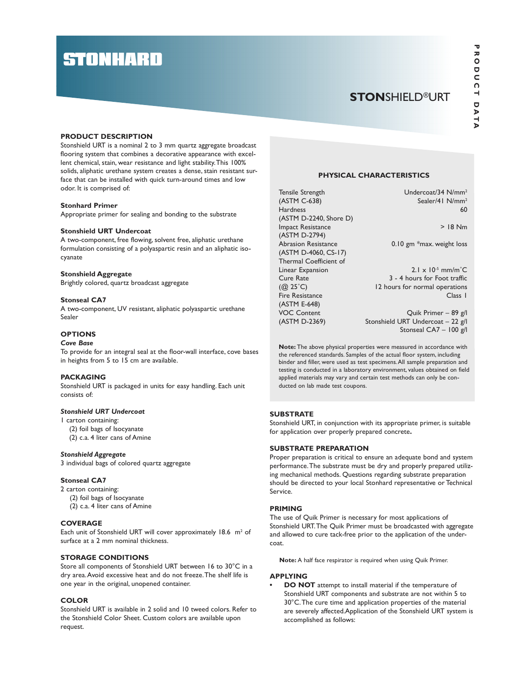# **STONHARD**

# **STONSHIELD®URT**

## PRODUCT DESCRIPTION

Stonshield URT is a nominal 2 to 3 mm quartz aggregate broadcast flooring system that combines a decorative appearance with excellent chemical, stain, wear resistance and light stability. This 100% solids, aliphatic urethane system creates a dense, stain resistant surface that can be installed with quick turn-around times and low odor. It is comprised of:

## Stonhard Primer

Appropriate primer for sealing and bonding to the substrate

## Stonshield URT Undercoat

A two-component, free flowing, solvent free, aliphatic urethane formulation consisting of a polyaspartic resin and an aliphatic isocyanate

#### Stonshield Aggregate

Brightly colored, quartz broadcast aggregate

# Stonseal CA7

A two-component, UV resistant, aliphatic polyaspartic urethane Sealer

# **OPTIONS**

## Cove Base

To provide for an integral seal at the floor-wall interface, cove bases in heights from 5 to 15 cm are available.

# PACKAGING

Stonshield URT is packaged in units for easy handling. Each unit consists of:

# Stonshield URT Undercoat

# 1 carton containing:

- (2) foil bags of Isocyanate
- (2) c.a. 4 liter cans of Amine

## Stonshield Aggregate

3 individual bags of colored quartz aggregate

## Stonseal CA7

2 carton containing: (2) foil bags of Isocyanate (2) c.a. 4 liter cans of Amine

#### **COVERAGE**

Each unit of Stonshield URT will cover approximately  $18.6$  m<sup>2</sup> of surface at a 2 mm nominal thickness.

# STORAGE CONDITIONS

Store all components of Stonshield URT between 16 to 30°C in a dry area. Avoid excessive heat and do not freeze. The shelf life is one year in the original, unopened container.

#### **COLOR**

Stonshield URT is available in 2 solid and 10 tweed colors. Refer to the Stonshield Color Sheet. Custom colors are available upon request.

## PHYSICAL CHARACTERISTICS

| Tensile Strength<br>(ASTM C-638)<br><b>Hardness</b> | Undercoat/34 N/mm <sup>2</sup><br>Sealer/41 $N/mm^2$<br>60 |
|-----------------------------------------------------|------------------------------------------------------------|
| (ASTM D-2240, Shore D)                              |                                                            |
| <b>Impact Resistance</b>                            | $>$ 18 Nm                                                  |
| (ASTM D-2794)                                       |                                                            |
| <b>Abrasion Resistance</b>                          | 0.10 gm $*$ max. weight loss                               |
| (ASTM D-4060, CS-17)                                |                                                            |
| Thermal Coefficient of                              |                                                            |
| Linear Expansion                                    | $2.1 \times 10^{-5}$ mm/m <sup>°</sup> C                   |
| Cure Rate                                           | 3 - 4 hours for Foot traffic                               |
| $(Q_2 25^{\circ}C)$                                 | 12 hours for normal operations                             |
| Fire Resistance                                     | Class 1                                                    |
| (ASTM E-648)                                        |                                                            |
| <b>VOC Content</b>                                  | Quik Primer - 89 g/l                                       |
| (ASTM D-2369)                                       | Stonshield URT Undercoat - 22 g/l                          |

Stonseal CA7 – 100 g/l

Note: The above physical properties were measured in accordance with the referenced standards. Samples of the actual floor system, including binder and filler, were used as test specimens. All sample preparation and testing is conducted in a laboratory environment, values obtained on field applied materials may vary and certain test methods can only be conducted on lab made test coupons.

# **SUBSTRATE**

Stonshield URT, in conjunction with its appropriate primer, is suitable for application over properly prepared concrete.

# SUBSTRATE PREPARATION

Proper preparation is critical to ensure an adequate bond and system performance. The substrate must be dry and properly prepared utilizing mechanical methods. Questions regarding substrate preparation should be directed to your local Stonhard representative or Technical Service.

#### PRIMING

The use of Quik Primer is necessary for most applications of Stonshield URT. The Quik Primer must be broadcasted with aggregate and allowed to cure tack-free prior to the application of the undercoat.

Note: A half face respirator is required when using Quik Primer.

## APPLYING

DO NOT attempt to install material if the temperature of Stonshield URT components and substrate are not within 5 to 30°C. The cure time and application properties of the material are severely affected.Application of the Stonshield URT system is accomplished as follows: